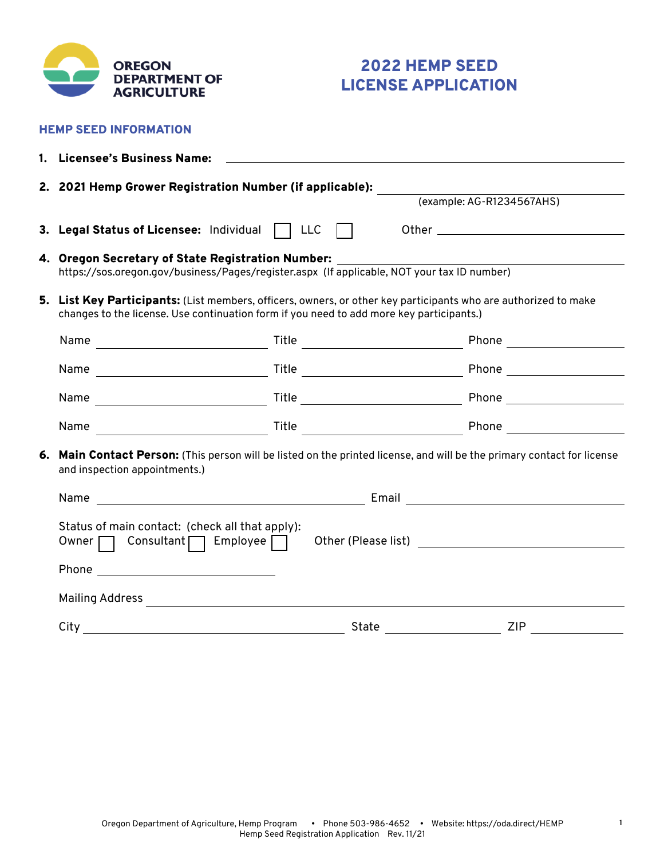

HEMP SEED INFORMATION

# 2022 HEMP SEED LICENSE APPLICATION

| 1. Licensee's Business Name:                                                                                                                                                                                |                           |                                        |  |  |  |  |  |
|-------------------------------------------------------------------------------------------------------------------------------------------------------------------------------------------------------------|---------------------------|----------------------------------------|--|--|--|--|--|
|                                                                                                                                                                                                             |                           |                                        |  |  |  |  |  |
| 2. 2021 Hemp Grower Registration Number (if applicable): ______                                                                                                                                             | (example: AG-R1234567AHS) |                                        |  |  |  |  |  |
| 3. Legal Status of Licensee: Individual   LLC                                                                                                                                                               |                           |                                        |  |  |  |  |  |
| 4. Oregon Secretary of State Registration Number: ________<br>https://sos.oregon.gov/business/Pages/register.aspx (If applicable, NOT your tax ID number)                                                   |                           |                                        |  |  |  |  |  |
| 5. List Key Participants: (List members, officers, owners, or other key participants who are authorized to make<br>changes to the license. Use continuation form if you need to add more key participants.) |                           |                                        |  |  |  |  |  |
|                                                                                                                                                                                                             |                           |                                        |  |  |  |  |  |
|                                                                                                                                                                                                             |                           |                                        |  |  |  |  |  |
|                                                                                                                                                                                                             |                           |                                        |  |  |  |  |  |
|                                                                                                                                                                                                             |                           |                                        |  |  |  |  |  |
| 6. Main Contact Person: (This person will be listed on the printed license, and will be the primary contact for license<br>and inspection appointments.)                                                    |                           |                                        |  |  |  |  |  |
|                                                                                                                                                                                                             |                           |                                        |  |  |  |  |  |
| Status of main contact: (check all that apply):<br>Owner $\Box$ Consultant $\Box$ Employee $\Box$                                                                                                           |                           |                                        |  |  |  |  |  |
| Phone _____________________________                                                                                                                                                                         |                           |                                        |  |  |  |  |  |
|                                                                                                                                                                                                             |                           |                                        |  |  |  |  |  |
| $City_$<br><u> 1989 - Johann Barn, fransk politik (d. 1989)</u>                                                                                                                                             |                           | <b>ZIP</b><br>State __________________ |  |  |  |  |  |

**1**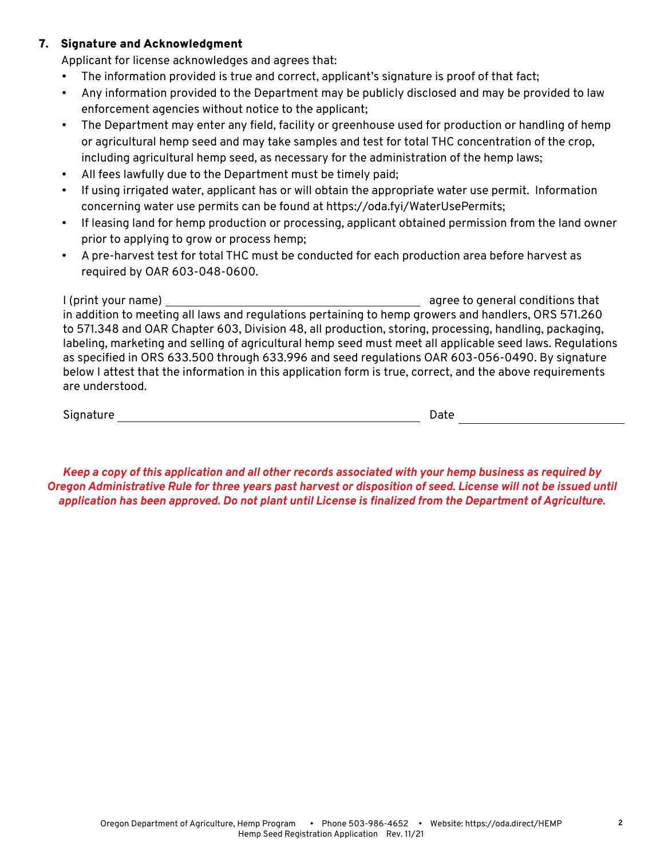# 7. Signature and Acknowledgment

Applicant for license acknowledges and agrees that:

- The information provided is true and correct, applicant's signature is proof of that fact;
- Any information provided to the Department may be publicly disclosed and may be provided to law enforcement agencies without notice to the applicant;
- The Department may enter any field, facility or greenhouse used for production or handling of hemp or agricultural hemp seed and may take samples and test for total THC concentration of the crop, including agricultural hemp seed, as necessary for the administration of the hemp laws;
- All fees lawfully due to the Department must be timely paid;
- If using irrigated water, applicant has or will obtain the appropriate water use permit. Information concerning water use permits can be found at https://oda.fyi/WaterUsePermits;
- If leasing land for hemp production or processing, applicant obtained permission from the land owner prior to applying to grow or process hemp;
- A pre-harvest test for total THC must be conducted for each production area before harvest as required by OAR 603-048-0600.

I (print your name) agree to general conditions that in addition to meeting all laws and regulations pertaining to hemp growers and handlers, ORS 571.260 to 571.348 and OAR Chapter 603, Division 48, all production, storing, processing, handling, packaging, labeling, marketing and selling of agricultural hemp seed must meet all applicable seed laws. Regulations as specified in ORS 633.500 through 633.996 and seed regulations OAR 603-056-0490. By signature below I attest that the information in this application form is true, correct, and the above requirements are understood.

Signature Date

*Keep a copy of this application and all other records associated with your hemp business as required by Oregon Administrative Rule for three years past harvest or disposition of seed. License will not be issued until application has been approved. Do not plant until License is finalized from the Department of Agriculture.*